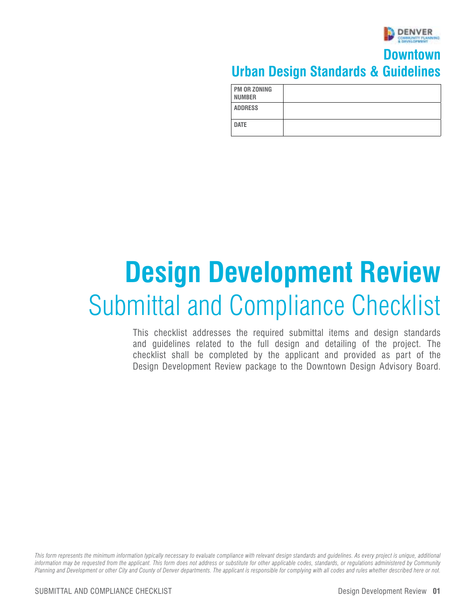

#### **Downtown Urban Design Standards & Guidelines**

| <b>PM OR ZONING</b><br><b>NUMBER</b> |  |
|--------------------------------------|--|
| <b>ADDRESS</b>                       |  |
| <b>DATE</b>                          |  |

# **Design Development Review**  Submittal and Compliance Checklist

This checklist addresses the required submittal items and design standards and guidelines related to the full design and detailing of the project. The checklist shall be completed by the applicant and provided as part of the Design Development Review package to the Downtown Design Advisory Board.

*This form represents the minimum information typically necessary to evaluate compliance with relevant design standards and guidelines. As every project is unique, additional information may be requested from the applicant. This form does not address or substitute for other applicable codes, standards, or regulations administered by Community Planning and Development or other City and County of Denver departments. The applicant is responsible for complying with all codes and rules whether described here or not.*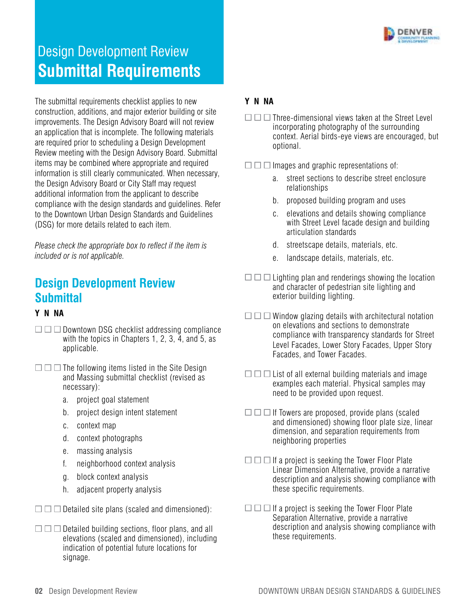

#### **Submittal Requirements** Design Development Review

The submittal requirements checklist applies to new construction, additions, and major exterior building or site improvements. The Design Advisory Board will not review an application that is incomplete. The following materials are required prior to scheduling a Design Development Review meeting with the Design Advisory Board. Submittal items may be combined where appropriate and required information is still clearly communicated. When necessary, the Design Advisory Board or City Staff may request additional information from the applicant to describe compliance with the design standards and guidelines. Refer to the Downtown Urban Design Standards and Guidelines (DSG) for more details related to each item.

*Please check the appropriate box to reflect if the item is included or is not applicable.* 

#### **Design Development Review Submittal**

#### **Y N NA**

- $\square \square$  Downtown DSG checklist addressing compliance with the topics in Chapters 1, 2, 3, 4, and 5, as applicable.
- $\square \square$  The following items listed in the Site Design and Massing submittal checklist (revised as necessary):
	- a. project goal statement
	- b. project design intent statement
	- c. context map
	- d. context photographs
	- e. massing analysis
	- f. neighborhood context analysis
	- g. block context analysis
	- h. adjacent property analysis
- $\square \square$  Detailed site plans (scaled and dimensioned):
- $\square \square$  Detailed building sections, floor plans, and all elevations (scaled and dimensioned), including indication of potential future locations for signage.

#### **Y N NA**

 $\Box$  Three-dimensional views taken at the Street Level incorporating photography of the surrounding context. Aerial birds-eye views are encouraged, but optional.

 $\Box$  Images and graphic representations of:

- a. street sections to describe street enclosure relationships
- b. proposed building program and uses
- c. elevations and details showing compliance with Street Level facade design and building articulation standards
- d. streetscape details, materials, etc.
- e. landscape details, materials, etc.
- $\square \square$  Lighting plan and renderings showing the location and character of pedestrian site lighting and exterior building lighting.
- $\square \square$  Window glazing details with architectural notation on elevations and sections to demonstrate compliance with transparency standards for Street Level Facades, Lower Story Facades, Upper Story Facades, and Tower Facades.
- $\square \square$  List of all external building materials and image examples each material. Physical samples may need to be provided upon request.
- $\square \square$  If Towers are proposed, provide plans (scaled and dimensioned) showing floor plate size, linear dimension, and separation requirements from neighboring properties
- $\square \square$  If a project is seeking the Tower Floor Plate Linear Dimension Alternative, provide a narrative description and analysis showing compliance with these specific requirements.
- $\square \square$  If a project is seeking the Tower Floor Plate Separation Alternative, provide a narrative description and analysis showing compliance with these requirements.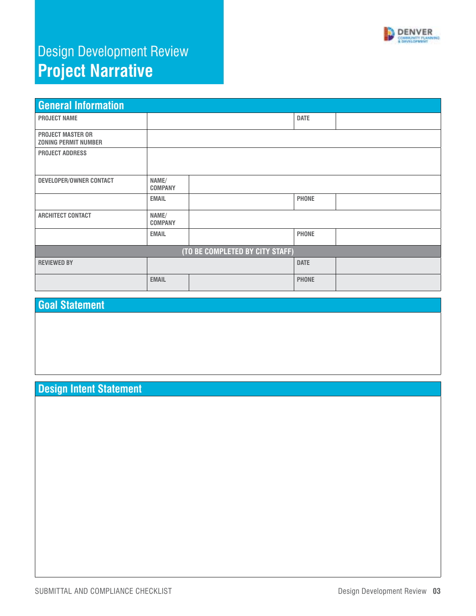

# Design Development Review **Project Narrative**

| <b>General Information</b>                              |                         |                                 |              |  |
|---------------------------------------------------------|-------------------------|---------------------------------|--------------|--|
| <b>PROJECT NAME</b>                                     |                         |                                 | <b>DATE</b>  |  |
| <b>PROJECT MASTER OR</b><br><b>ZONING PERMIT NUMBER</b> |                         |                                 |              |  |
| <b>PROJECT ADDRESS</b>                                  |                         |                                 |              |  |
| DEVELOPER/OWNER CONTACT                                 | NAME/<br><b>COMPANY</b> |                                 |              |  |
|                                                         | <b>EMAIL</b>            |                                 | <b>PHONE</b> |  |
| <b>ARCHITECT CONTACT</b>                                | NAME/<br><b>COMPANY</b> |                                 |              |  |
|                                                         | <b>EMAIL</b>            |                                 | <b>PHONE</b> |  |
|                                                         |                         | (TO BE COMPLETED BY CITY STAFF) |              |  |
| <b>REVIEWED BY</b>                                      |                         |                                 | <b>DATE</b>  |  |
|                                                         | <b>EMAIL</b>            |                                 | <b>PHONE</b> |  |

#### **Goal Statement**

#### **Design Intent Statement**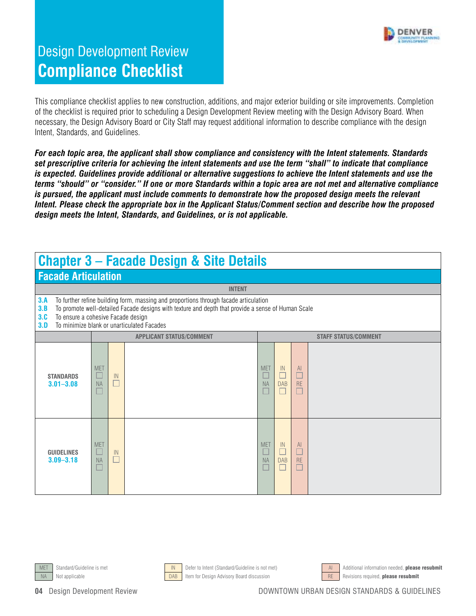

This compliance checklist applies to new construction, additions, and major exterior building or site improvements. Completion of the checklist is required prior to scheduling a Design Development Review meeting with the Design Advisory Board. When necessary, the Design Advisory Board or City Staff may request additional information to describe compliance with the design Intent, Standards, and Guidelines.

*For each topic area, the applicant shall show compliance and consistency with the Intent statements. Standards set prescriptive criteria for achieving the intent statements and use the term "shall" to indicate that compliance is expected. Guidelines provide additional or alternative suggestions to achieve the Intent statements and use the terms "should" or "consider." If one or more Standards within a topic area are not met and alternative compliance is pursued, the applicant must include comments to demonstrate how the proposed design meets the relevant Intent. Please check the appropriate box in the Applicant Status/Comment section and describe how the proposed design meets the Intent, Standards, and Guidelines, or is not applicable.* 

#### **Chapter 3 – Facade Design & Site Details**

#### **Facade Articulation**

| <u>I GOGGO IN HOGIGHON</u>         |                                                                                                                                                                                                                                                                                |              |                                 |                                    |                  |                 |                             |  |  |
|------------------------------------|--------------------------------------------------------------------------------------------------------------------------------------------------------------------------------------------------------------------------------------------------------------------------------|--------------|---------------------------------|------------------------------------|------------------|-----------------|-----------------------------|--|--|
|                                    | <b>INTENT</b>                                                                                                                                                                                                                                                                  |              |                                 |                                    |                  |                 |                             |  |  |
| 3.A<br>3.B<br>3.C<br>3.D           | To further refine building form, massing and proportions through facade articulation<br>To promote well-detailed Facade designs with texture and depth that provide a sense of Human Scale<br>To ensure a cohesive Facade design<br>To minimize blank or unarticulated Facades |              |                                 |                                    |                  |                 |                             |  |  |
|                                    |                                                                                                                                                                                                                                                                                |              | <b>APPLICANT STATUS/COMMENT</b> |                                    |                  |                 | <b>STAFF STATUS/COMMENT</b> |  |  |
| <b>STANDARDS</b><br>$3.01 - 3.08$  | <b>MET</b><br><b>NA</b>                                                                                                                                                                                                                                                        | IN<br>$\Box$ |                                 | <b>MET</b><br>L.<br><b>NA</b><br>Ш | IN<br><b>DAB</b> | AI<br>RE        |                             |  |  |
| <b>GUIDELINES</b><br>$3.09 - 3.18$ | <b>MET</b><br><b>NA</b>                                                                                                                                                                                                                                                        | IN<br>П      |                                 | <b>MET</b><br>L<br><b>NA</b><br>ш  | IN<br><b>DAB</b> | AI<br><b>RE</b> |                             |  |  |







MET Standard/Guideline is met **IN Defer to Intent (Standard/Guideline is not met)** AI Additional information needed, **please resubmit**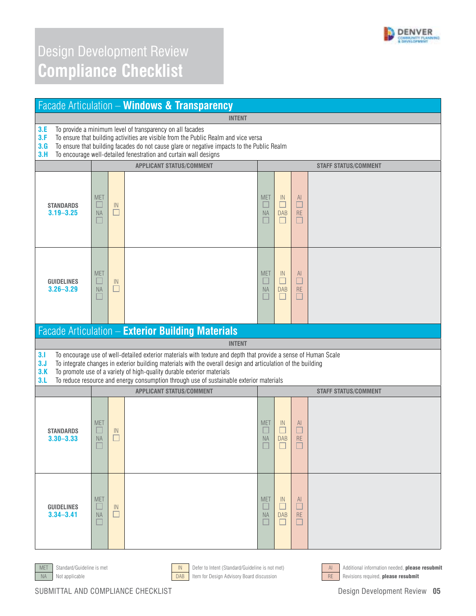

|                                                                                                                                                                                                                                                                                                                                                | Facade Articulation - Windows & Transparency                   |                                 |                                                                                                                                                                                                                                                                                                                                                                                                      |                                        |                                           |                                    |                             |  |  |
|------------------------------------------------------------------------------------------------------------------------------------------------------------------------------------------------------------------------------------------------------------------------------------------------------------------------------------------------|----------------------------------------------------------------|---------------------------------|------------------------------------------------------------------------------------------------------------------------------------------------------------------------------------------------------------------------------------------------------------------------------------------------------------------------------------------------------------------------------------------------------|----------------------------------------|-------------------------------------------|------------------------------------|-----------------------------|--|--|
|                                                                                                                                                                                                                                                                                                                                                |                                                                |                                 | <b>INTENT</b>                                                                                                                                                                                                                                                                                                                                                                                        |                                        |                                           |                                    |                             |  |  |
| To provide a minimum level of transparency on all facades<br>3.E<br>3.F<br>To ensure that building activities are visible from the Public Realm and vice versa<br>3.G<br>To ensure that building facades do not cause glare or negative impacts to the Public Realm<br>To encourage well-detailed fenestration and curtain wall designs<br>3.H |                                                                |                                 |                                                                                                                                                                                                                                                                                                                                                                                                      |                                        |                                           |                                    |                             |  |  |
|                                                                                                                                                                                                                                                                                                                                                | <b>APPLICANT STATUS/COMMENT</b><br><b>STAFF STATUS/COMMENT</b> |                                 |                                                                                                                                                                                                                                                                                                                                                                                                      |                                        |                                           |                                    |                             |  |  |
| <b>STANDARDS</b><br>$3.19 - 3.25$                                                                                                                                                                                                                                                                                                              | <b>MET</b><br><b>NA</b>                                        | $\ensuremath{\mathsf{IN}}$<br>Ш |                                                                                                                                                                                                                                                                                                                                                                                                      | <b>MET</b><br>$\Box$<br><b>NA</b><br>П | $\mathbb{N}$<br><b>DAB</b><br>$\Box$      | $\mathsf{Al}$<br>$\Box$<br>RE<br>□ |                             |  |  |
| <b>GUIDELINES</b><br>$3.26 - 3.29$                                                                                                                                                                                                                                                                                                             | <b>MET</b><br>NA<br>a.                                         | IN<br>$\Box$                    |                                                                                                                                                                                                                                                                                                                                                                                                      | <b>MET</b><br>$\Box$<br><b>NA</b><br>□ | $\mathbb{N}$<br>□<br><b>DAB</b><br>$\Box$ | AI<br>□<br>RE<br>$\Box$            |                             |  |  |
|                                                                                                                                                                                                                                                                                                                                                |                                                                |                                 | Facade Articulation - Exterior Building Materials                                                                                                                                                                                                                                                                                                                                                    |                                        |                                           |                                    |                             |  |  |
|                                                                                                                                                                                                                                                                                                                                                |                                                                |                                 | <b>INTENT</b>                                                                                                                                                                                                                                                                                                                                                                                        |                                        |                                           |                                    |                             |  |  |
| 3.1<br>3.J<br>3.K<br>3.L                                                                                                                                                                                                                                                                                                                       |                                                                |                                 | To encourage use of well-detailed exterior materials with texture and depth that provide a sense of Human Scale<br>To integrate changes in exterior building materials with the overall design and articulation of the building<br>To promote use of a variety of high-quality durable exterior materials<br>To reduce resource and energy consumption through use of sustainable exterior materials |                                        |                                           |                                    |                             |  |  |
|                                                                                                                                                                                                                                                                                                                                                |                                                                |                                 | <b>APPLICANT STATUS/COMMENT</b>                                                                                                                                                                                                                                                                                                                                                                      |                                        |                                           |                                    | <b>STAFF STATUS/COMMENT</b> |  |  |
| <b>STANDARDS</b><br>$3.30 - 3.33$                                                                                                                                                                                                                                                                                                              | <b>MET</b><br><b>NA</b>                                        | IN                              |                                                                                                                                                                                                                                                                                                                                                                                                      | <b>MET</b><br><b>NA</b>                | $\mathbb{N}$<br><b>DAB</b>                | AI.<br>RE                          |                             |  |  |
| <b>GUIDELINES</b><br>$3.34 - 3.41$                                                                                                                                                                                                                                                                                                             | <b>MET</b><br><b>NA</b>                                        | IN                              |                                                                                                                                                                                                                                                                                                                                                                                                      | <b>MET</b><br><b>NA</b>                | IN.<br><b>DAB</b>                         | AI.<br><b>RE</b>                   |                             |  |  |







MET Standard/Guideline is met **IN Defer to Intent (Standard/Guideline is not met)** Additional information needed, **please resubmit**<br>Not applicable **DAB** them for Design Advisory Board discussion Not applicable **Example 20 Note and American Constant DAB** Item for Design Advisory Board discussion RE Revisions required, **please resubmit**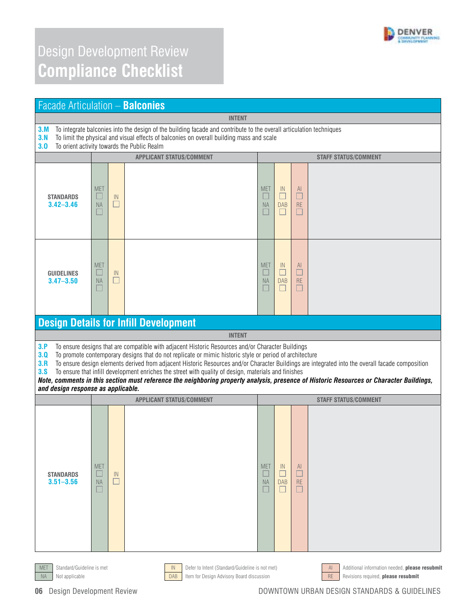

| <b>Facade Articulation - Balconies</b>                         |                                                                                                                                                                                                                                                                |                                      |                                                                                                                                                                                                                                                                                                                                                                                                                                                                                                                                                                                                                     |                         |                                      |                                                        |                             |  |  |
|----------------------------------------------------------------|----------------------------------------------------------------------------------------------------------------------------------------------------------------------------------------------------------------------------------------------------------------|--------------------------------------|---------------------------------------------------------------------------------------------------------------------------------------------------------------------------------------------------------------------------------------------------------------------------------------------------------------------------------------------------------------------------------------------------------------------------------------------------------------------------------------------------------------------------------------------------------------------------------------------------------------------|-------------------------|--------------------------------------|--------------------------------------------------------|-----------------------------|--|--|
|                                                                |                                                                                                                                                                                                                                                                |                                      | <b>INTENT</b>                                                                                                                                                                                                                                                                                                                                                                                                                                                                                                                                                                                                       |                         |                                      |                                                        |                             |  |  |
| 3.M<br>3.N<br>3.0                                              | To integrate balconies into the design of the building facade and contribute to the overall articulation techniques<br>To limit the physical and visual effects of balconies on overall building mass and scale<br>To orient activity towards the Public Realm |                                      |                                                                                                                                                                                                                                                                                                                                                                                                                                                                                                                                                                                                                     |                         |                                      |                                                        |                             |  |  |
|                                                                |                                                                                                                                                                                                                                                                |                                      | <b>APPLICANT STATUS/COMMENT</b>                                                                                                                                                                                                                                                                                                                                                                                                                                                                                                                                                                                     |                         |                                      |                                                        | <b>STAFF STATUS/COMMENT</b> |  |  |
| <b>STANDARDS</b><br>$3.42 - 3.46$                              | <b>MET</b><br>ш<br><b>NA</b>                                                                                                                                                                                                                                   | IN                                   |                                                                                                                                                                                                                                                                                                                                                                                                                                                                                                                                                                                                                     | <b>MET</b><br><b>NA</b> | IN<br>□<br><b>DAB</b>                | AI.<br>□<br><b>RE</b>                                  |                             |  |  |
| <b>GUIDELINES</b><br>$3.47 - 3.50$                             | <b>MET</b><br><b>NA</b>                                                                                                                                                                                                                                        | $\ensuremath{\mathsf{IN}}$<br>$\Box$ |                                                                                                                                                                                                                                                                                                                                                                                                                                                                                                                                                                                                                     | <b>MET</b><br><b>NA</b> | $\mathbb{N}$<br>$\Box$<br><b>DAB</b> | AI.<br>$\Box$<br><b>RE</b><br>$\overline{\phantom{a}}$ |                             |  |  |
|                                                                |                                                                                                                                                                                                                                                                |                                      | <b>Design Details for Infill Development</b>                                                                                                                                                                                                                                                                                                                                                                                                                                                                                                                                                                        |                         |                                      |                                                        |                             |  |  |
|                                                                |                                                                                                                                                                                                                                                                |                                      | <b>INTENT</b>                                                                                                                                                                                                                                                                                                                                                                                                                                                                                                                                                                                                       |                         |                                      |                                                        |                             |  |  |
| 3.P<br>3.0<br>3.R<br>3.5<br>and design response as applicable. |                                                                                                                                                                                                                                                                |                                      | To ensure designs that are compatible with adjacent Historic Resources and/or Character Buildings<br>To promote contemporary designs that do not replicate or mimic historic style or period of architecture<br>To ensure design elements derived from adjacent Historic Resources and/or Character Buildings are integrated into the overall facade composition<br>To ensure that infill development enriches the street with quality of design, materials and finishes<br>Note, comments in this section must reference the neighboring property analysis, presence of Historic Resources or Character Buildings, |                         |                                      |                                                        |                             |  |  |
|                                                                |                                                                                                                                                                                                                                                                |                                      | <b>APPLICANT STATUS/COMMENT</b>                                                                                                                                                                                                                                                                                                                                                                                                                                                                                                                                                                                     |                         |                                      |                                                        | <b>STAFF STATUS/COMMENT</b> |  |  |
| <b>STANDARDS</b><br>$3.51 - 3.56$                              | <b>MET</b><br>ப<br><b>NA</b>                                                                                                                                                                                                                                   | IN                                   |                                                                                                                                                                                                                                                                                                                                                                                                                                                                                                                                                                                                                     | <b>MET</b><br>NA        | IN<br><b>DAB</b>                     | AI.<br><b>RE</b><br>$\Box$                             |                             |  |  |
| <b>MET</b>                                                     | $\mathsf{IN}$<br>Defer to Intent (Standard/Guideline is not met)<br>Additional information needed, please resubmit<br>Standard/Guideline is met<br>AI                                                                                                          |                                      |                                                                                                                                                                                                                                                                                                                                                                                                                                                                                                                                                                                                                     |                         |                                      |                                                        |                             |  |  |



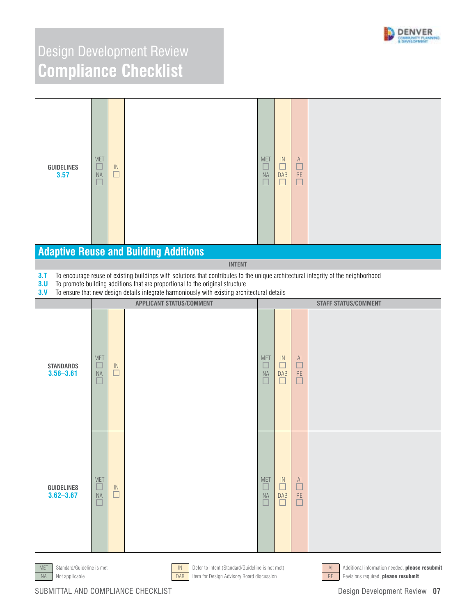

| <b>GUIDELINES</b><br>3.57          | <b>MET</b><br>$\Box$<br><b>NA</b><br>Ш | $\ensuremath{\mathsf{IN}}\xspace$<br>$\Box$ |                                                                                                                                                                                                                                                                                                                                      | <b>MET</b><br>$\Box$<br>$\sf{NA}$<br>$\Box$ | $\sf IN$<br>$\Box$<br><b>DAB</b><br>$\Box$              | $\mathsf{Al}$<br>$\Box$<br>$\mathsf{RE}$<br>$\Box$ |                             |
|------------------------------------|----------------------------------------|---------------------------------------------|--------------------------------------------------------------------------------------------------------------------------------------------------------------------------------------------------------------------------------------------------------------------------------------------------------------------------------------|---------------------------------------------|---------------------------------------------------------|----------------------------------------------------|-----------------------------|
|                                    |                                        |                                             | <b>Adaptive Reuse and Building Additions</b>                                                                                                                                                                                                                                                                                         |                                             |                                                         |                                                    |                             |
| 3.1<br>3.0<br>3. V                 |                                        |                                             | <b>INTENT</b><br>To encourage reuse of existing buildings with solutions that contributes to the unique architectural integrity of the neighborhood<br>To promote building additions that are proportional to the original structure<br>To ensure that new design details integrate harmoniously with existing architectural details |                                             |                                                         |                                                    |                             |
|                                    |                                        |                                             | <b>APPLICANT STATUS/COMMENT</b>                                                                                                                                                                                                                                                                                                      |                                             |                                                         |                                                    | <b>STAFF STATUS/COMMENT</b> |
| <b>STANDARDS</b><br>$3.58 - 3.61$  | <b>MET</b><br>$\Box$<br>$\sf NA$       | $\ensuremath{\mathsf{IN}}\xspace$<br>$\Box$ |                                                                                                                                                                                                                                                                                                                                      | <b>MET</b><br>$\Box$<br><b>NA</b><br>$\Box$ | $\ensuremath{\mathsf{IN}}$<br>$\Box$<br><b>DAB</b><br>□ | AI<br>$\Box$<br>$\mathsf{RE}$<br>□                 |                             |
| <b>GUIDELINES</b><br>$3.62 - 3.67$ | <b>MET</b><br>ш<br><b>NA</b>           | $\ensuremath{\mathsf{IN}}\xspace$<br>$\Box$ |                                                                                                                                                                                                                                                                                                                                      | <b>MET</b><br>H<br><b>NA</b><br>۰           | -IN<br>F<br><b>DAB</b><br>$\Box$                        | AI<br>Г<br><b>RE</b><br>П                          |                             |





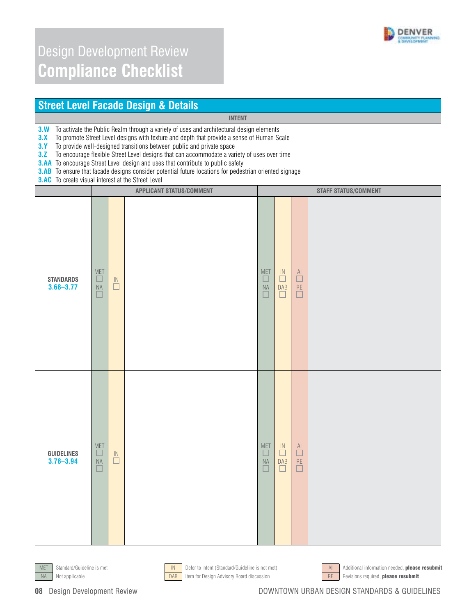

| <b>Street Level Facade Design &amp; Details</b>                                                                                                                                                                                                                                                                                                                                                                                                                                                                                                                                                                                                              |                                 |                 |                                 |                                        |                                            |                              |                             |  |  |
|--------------------------------------------------------------------------------------------------------------------------------------------------------------------------------------------------------------------------------------------------------------------------------------------------------------------------------------------------------------------------------------------------------------------------------------------------------------------------------------------------------------------------------------------------------------------------------------------------------------------------------------------------------------|---------------------------------|-----------------|---------------------------------|----------------------------------------|--------------------------------------------|------------------------------|-----------------------------|--|--|
| <b>INTENT</b>                                                                                                                                                                                                                                                                                                                                                                                                                                                                                                                                                                                                                                                |                                 |                 |                                 |                                        |                                            |                              |                             |  |  |
| To activate the Public Realm through a variety of uses and architectural design elements<br>3. W<br>3.X<br>To promote Street Level designs with texture and depth that provide a sense of Human Scale<br>3.1<br>To provide well-designed transitions between public and private space<br>3.Z<br>To encourage flexible Street Level designs that can accommodate a variety of uses over time<br><b>3.AA</b> To encourage Street Level design and uses that contribute to public safety<br>3.AB To ensure that facade designs consider potential future locations for pedestrian oriented signage<br><b>3.AC</b> To create visual interest at the Street Level |                                 |                 |                                 |                                        |                                            |                              |                             |  |  |
|                                                                                                                                                                                                                                                                                                                                                                                                                                                                                                                                                                                                                                                              |                                 |                 | <b>APPLICANT STATUS/COMMENT</b> |                                        |                                            |                              | <b>STAFF STATUS/COMMENT</b> |  |  |
| <b>STANDARDS</b><br>$3.68 - 3.77$                                                                                                                                                                                                                                                                                                                                                                                                                                                                                                                                                                                                                            | <b>MET</b><br>$\Box$<br>NA<br>× | ${\sf IN}$<br>Ш |                                 | <b>MET</b><br>$\Box$<br><b>NA</b><br>Г | $\mathsf{IN}$<br>□<br><b>DAB</b><br>$\Box$ | AI<br>$\Box$<br>RE<br>$\Box$ |                             |  |  |
| <b>GUIDELINES</b><br>$3.78 - 3.94$                                                                                                                                                                                                                                                                                                                                                                                                                                                                                                                                                                                                                           | <b>MET</b><br>NA<br>H           | IN<br>$\Box$    |                                 | <b>MET</b><br><b>NA</b>                | IN<br><b>DAB</b><br>$\Box$                 | AI<br>П<br><b>RE</b><br>□    |                             |  |  |





NA Not applicable **Example 2018** Item for Design Advisory Board discussion RE Revisions required, **please resubmit** 



MET Standard/Guideline is met **IN Defer to Intent (Standard/Guideline is not met)** And Additional information needed, **please resubmit**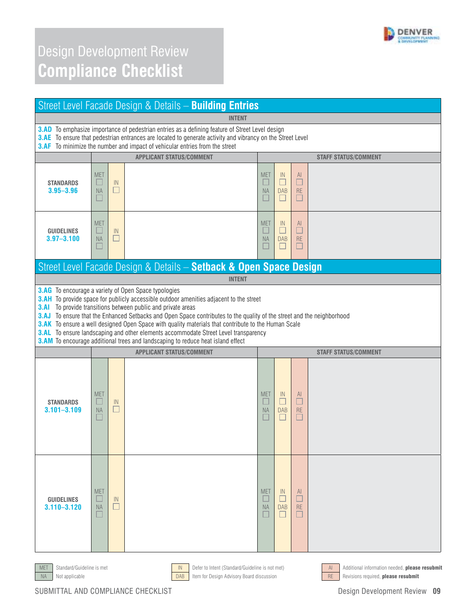

| Street Level Facade Design & Details - Building Entries                                                                                                                                                                                                                                                                            |                              |              |                                                                                                                                                                                                                                                                                                                                                                                                                                                                                                                                                                                                                                                         |                                        |                                      |                                      |                             |  |
|------------------------------------------------------------------------------------------------------------------------------------------------------------------------------------------------------------------------------------------------------------------------------------------------------------------------------------|------------------------------|--------------|---------------------------------------------------------------------------------------------------------------------------------------------------------------------------------------------------------------------------------------------------------------------------------------------------------------------------------------------------------------------------------------------------------------------------------------------------------------------------------------------------------------------------------------------------------------------------------------------------------------------------------------------------------|----------------------------------------|--------------------------------------|--------------------------------------|-----------------------------|--|
| <b>INTENT</b><br><b>3.AD</b> To emphasize importance of pedestrian entries as a defining feature of Street Level design<br><b>3.AE</b> To ensure that pedestrian entrances are located to generate activity and vibrancy on the Street Level<br><b>3.AF</b> To minimize the number and impact of vehicular entries from the street |                              |              |                                                                                                                                                                                                                                                                                                                                                                                                                                                                                                                                                                                                                                                         |                                        |                                      |                                      |                             |  |
|                                                                                                                                                                                                                                                                                                                                    |                              |              | <b>APPLICANT STATUS/COMMENT</b>                                                                                                                                                                                                                                                                                                                                                                                                                                                                                                                                                                                                                         |                                        |                                      |                                      | <b>STAFF STATUS/COMMENT</b> |  |
| <b>STANDARDS</b><br>$3.95 - 3.96$                                                                                                                                                                                                                                                                                                  | <b>MET</b><br>ப<br><b>NA</b> | IN<br>$\Box$ |                                                                                                                                                                                                                                                                                                                                                                                                                                                                                                                                                                                                                                                         | <b>MET</b><br><b>Fill</b><br><b>NA</b> | IN<br>$\Box$<br><b>DAB</b><br>$\Box$ | AI.<br>$\Box$<br><b>RE</b>           |                             |  |
| <b>GUIDELINES</b><br>$3.97 - 3.100$                                                                                                                                                                                                                                                                                                | <b>MET</b><br><b>NA</b>      | IN<br>$\Box$ |                                                                                                                                                                                                                                                                                                                                                                                                                                                                                                                                                                                                                                                         | <b>MET</b><br><b>NA</b>                | IN<br>n<br><b>DAB</b><br>$\Box$      | AI.<br>□<br><b>RE</b><br>▉           |                             |  |
|                                                                                                                                                                                                                                                                                                                                    |                              |              | Street Level Facade Design & Details - Setback & Open Space Design                                                                                                                                                                                                                                                                                                                                                                                                                                                                                                                                                                                      |                                        |                                      |                                      |                             |  |
|                                                                                                                                                                                                                                                                                                                                    |                              |              | <b>INTENT</b>                                                                                                                                                                                                                                                                                                                                                                                                                                                                                                                                                                                                                                           |                                        |                                      |                                      |                             |  |
| 3.AI                                                                                                                                                                                                                                                                                                                               |                              |              | <b>3.AG</b> To encourage a variety of Open Space typologies<br><b>3.AH</b> To provide space for publicly accessible outdoor amenities adjacent to the street<br>To provide transitions between public and private areas<br>3.AJ To ensure that the Enhanced Setbacks and Open Space contributes to the quality of the street and the neighborhood<br><b>3.AK</b> To ensure a well designed Open Space with quality materials that contribute to the Human Scale<br><b>3.AL</b> To ensure landscaping and other elements accommodate Street Level transparency<br><b>3.AM</b> To encourage additional trees and landscaping to reduce heat island effect |                                        |                                      |                                      |                             |  |
|                                                                                                                                                                                                                                                                                                                                    |                              |              | <b>APPLICANT STATUS/COMMENT</b>                                                                                                                                                                                                                                                                                                                                                                                                                                                                                                                                                                                                                         |                                        |                                      |                                      | <b>STAFF STATUS/COMMENT</b> |  |
| <b>STANDARDS</b><br>$3.101 - 3.109$                                                                                                                                                                                                                                                                                                | <b>MET</b><br><b>NA</b>      | IN<br>Ш      |                                                                                                                                                                                                                                                                                                                                                                                                                                                                                                                                                                                                                                                         | <b>MET</b><br>L<br><b>NA</b>           | IN<br>П<br><b>DAB</b>                | <sup>Al</sup><br>$\Box$<br><b>RE</b> |                             |  |
| <b>GUIDELINES</b><br>$3.110 - 3.120$                                                                                                                                                                                                                                                                                               | <b>MET</b><br><b>NA</b>      | IN           |                                                                                                                                                                                                                                                                                                                                                                                                                                                                                                                                                                                                                                                         | <b>MET</b><br><b>NA</b>                | IN<br><b>DAB</b>                     | <sup>Al</sup><br><b>RE</b>           |                             |  |









MET Standard/Guideline is met **IN Defer to Intent (Standard/Guideline is not met)** Additional information needed, **please resubmit**<br>Not applicable **DAB** them for Design Advisory Board discussion Not applicable **Example 20 Note and American Constant DAB** Item for Design Advisory Board discussion RE Revisions required, **please resubmit**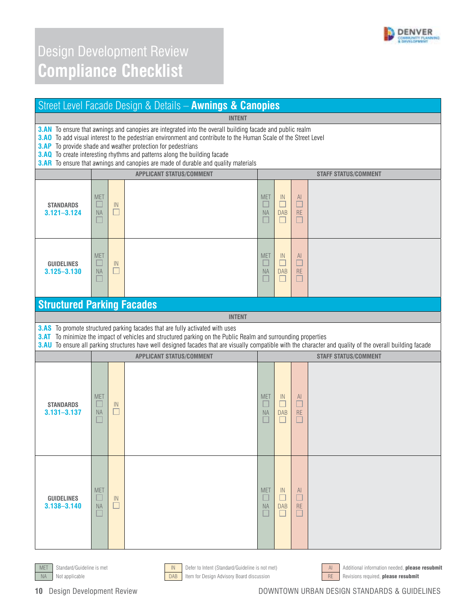

| Street Level Facade Design & Details - Awnings & Canopies                                                                                                                                                                                                                                                                                                                                                                                                                                   |                                                                |               |                                                                                                                                                                                                                                                                                                                                                                      |                                        |                                            |                            |                             |
|---------------------------------------------------------------------------------------------------------------------------------------------------------------------------------------------------------------------------------------------------------------------------------------------------------------------------------------------------------------------------------------------------------------------------------------------------------------------------------------------|----------------------------------------------------------------|---------------|----------------------------------------------------------------------------------------------------------------------------------------------------------------------------------------------------------------------------------------------------------------------------------------------------------------------------------------------------------------------|----------------------------------------|--------------------------------------------|----------------------------|-----------------------------|
|                                                                                                                                                                                                                                                                                                                                                                                                                                                                                             |                                                                |               | <b>INTENT</b>                                                                                                                                                                                                                                                                                                                                                        |                                        |                                            |                            |                             |
| <b>3.AN</b> To ensure that awnings and canopies are integrated into the overall building facade and public realm<br><b>3.AO</b> To add visual interest to the pedestrian environment and contribute to the Human Scale of the Street Level<br><b>3.AP</b> To provide shade and weather protection for pedestrians<br>3.AQ To create interesting rhythms and patterns along the building facade<br><b>3.AR</b> To ensure that awnings and canopies are made of durable and quality materials |                                                                |               |                                                                                                                                                                                                                                                                                                                                                                      |                                        |                                            |                            |                             |
|                                                                                                                                                                                                                                                                                                                                                                                                                                                                                             | <b>APPLICANT STATUS/COMMENT</b><br><b>STAFF STATUS/COMMENT</b> |               |                                                                                                                                                                                                                                                                                                                                                                      |                                        |                                            |                            |                             |
| <b>STANDARDS</b><br>$3.121 - 3.124$                                                                                                                                                                                                                                                                                                                                                                                                                                                         | <b>MET</b><br>Ш<br><b>NA</b>                                   | IN<br>$\Box$  |                                                                                                                                                                                                                                                                                                                                                                      | <b>MET</b><br>Ш<br><b>NA</b><br>ш      | IN<br>$\Box$<br><b>DAB</b><br>L            | AI.<br>$\Box$<br><b>RE</b> |                             |
| <b>GUIDELINES</b><br>$3.125 - 3.130$                                                                                                                                                                                                                                                                                                                                                                                                                                                        | <b>MET</b><br>$\Box$<br><b>NA</b><br>H                         | IN<br>$\Box$  |                                                                                                                                                                                                                                                                                                                                                                      | <b>MET</b><br>$\Box$<br><b>NA</b><br>٠ | IN<br>$\Box$<br><b>DAB</b><br>п            | AI<br>$\Box$<br>RE<br>⊏    |                             |
| <b>Structured Parking Facades</b>                                                                                                                                                                                                                                                                                                                                                                                                                                                           |                                                                |               |                                                                                                                                                                                                                                                                                                                                                                      |                                        |                                            |                            |                             |
|                                                                                                                                                                                                                                                                                                                                                                                                                                                                                             |                                                                |               | <b>INTENT</b>                                                                                                                                                                                                                                                                                                                                                        |                                        |                                            |                            |                             |
|                                                                                                                                                                                                                                                                                                                                                                                                                                                                                             |                                                                |               | <b>3.AS</b> To promote structured parking facades that are fully activated with uses<br>3.AT To minimize the impact of vehicles and structured parking on the Public Realm and surrounding properties<br>3.AU To ensure all parking structures have well designed facades that are visually compatible with the character and quality of the overall building facade |                                        |                                            |                            |                             |
|                                                                                                                                                                                                                                                                                                                                                                                                                                                                                             |                                                                |               | <b>APPLICANT STATUS/COMMENT</b>                                                                                                                                                                                                                                                                                                                                      |                                        |                                            |                            | <b>STAFF STATUS/COMMENT</b> |
| <b>STANDARDS</b><br>$3.131 - 3.137$                                                                                                                                                                                                                                                                                                                                                                                                                                                         | <b>MET</b><br>ш<br><b>NA</b>                                   | IN<br>$\Box$  |                                                                                                                                                                                                                                                                                                                                                                      | <b>MET</b><br><b>NA</b>                | IN<br>$\Box$<br><b>DAB</b><br>$\mathbf{I}$ | AI<br>□<br><b>RE</b>       |                             |
| <b>GUIDELINES</b><br>$3.138 - 3.140$                                                                                                                                                                                                                                                                                                                                                                                                                                                        | <b>MET</b><br><b>NA</b>                                        | -IN<br>$\Box$ |                                                                                                                                                                                                                                                                                                                                                                      | <b>MET</b><br><b>NA</b>                | IN<br><b>DAB</b>                           | AI.<br><b>RE</b>           |                             |





NA Not applicable **DAB** Item for Design Advisory Board discussion RE Revisions required, please resubmit



MET Standard/Guideline is met **IN Defer to Intent (Standard/Guideline is not met)** And Additional information needed, **please resubmit**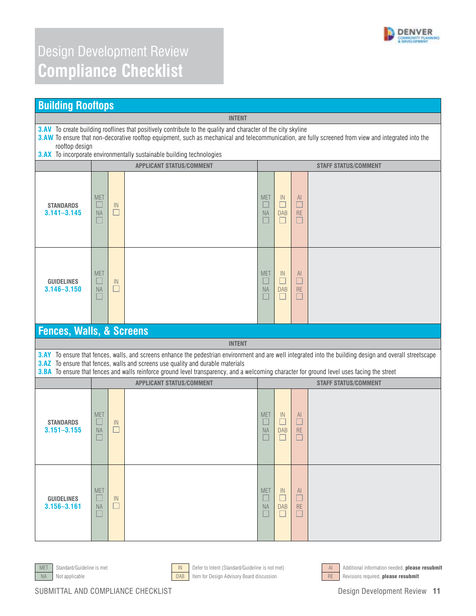

#### **Building Rooftops**

**3.AV** To create building rooflines that positively contribute to the quality and character of the city skyline

**3.AW** To ensure that non-decorative rooftop equipment, such as mechanical and telecommunication, are fully screened from view and integrated into the rooftop design

**INTENT** 

**3.AX** To incorporate environmentally sustainable building technologies

|                                      |                                   |                                             | <b>APPLICANT STATUS/COMMENT</b>                                                                                                                                                                                                                      | <b>STAFF STATUS/COMMENT</b>                                   |                                 |                                                                 |                             |  |  |
|--------------------------------------|-----------------------------------|---------------------------------------------|------------------------------------------------------------------------------------------------------------------------------------------------------------------------------------------------------------------------------------------------------|---------------------------------------------------------------|---------------------------------|-----------------------------------------------------------------|-----------------------------|--|--|
| <b>STANDARDS</b><br>$3.141 - 3.145$  | <b>MET</b><br>$\Box$<br><b>NA</b> | $\overline{1}$<br>$\Box$                    |                                                                                                                                                                                                                                                      | <b>MET</b><br>E<br><b>NA</b><br>L                             | IN<br>$\Box$<br><b>DAB</b><br>П | $\begin{array}{c}\n\mathsf{Al} \\ \Box\n\end{array}$<br>RE<br>Ш |                             |  |  |
| <b>GUIDELINES</b><br>$3.146 - 3.150$ | <b>MET</b><br>Ш<br><b>NA</b><br>п | $\mathsf{IN}$<br>□                          |                                                                                                                                                                                                                                                      | <b>MET</b><br>$\overline{\phantom{a}}$<br><b>NA</b><br>$\Box$ | IN<br>П<br><b>DAB</b><br>$\Box$ | AI<br>$\Box$<br><b>RE</b><br>$\Box$                             |                             |  |  |
| <b>Fences, Walls, &amp; Screens</b>  |                                   |                                             |                                                                                                                                                                                                                                                      |                                                               |                                 |                                                                 |                             |  |  |
|                                      |                                   |                                             | <b>INTENT</b>                                                                                                                                                                                                                                        |                                                               |                                 |                                                                 |                             |  |  |
|                                      |                                   |                                             | 3.AY To ensure that fences, walls, and screens enhance the pedestrian environment and are well integrated into the building design and overall streetscape<br><b>3.AZ</b> To ensure that fences, walls and screens use quality and durable materials |                                                               |                                 |                                                                 |                             |  |  |
|                                      |                                   |                                             | 3.BA To ensure that fences and walls reinforce ground level transparency, and a welcoming character for ground level uses facing the street                                                                                                          |                                                               |                                 |                                                                 |                             |  |  |
|                                      |                                   |                                             | <b>APPLICANT STATUS/COMMENT</b>                                                                                                                                                                                                                      |                                                               |                                 |                                                                 | <b>STAFF STATUS/COMMENT</b> |  |  |
| <b>STANDARDS</b><br>$3.151 - 3.155$  | <b>MET</b><br>ш<br><b>NA</b>      | $\ensuremath{\mathsf{IN}}\xspace$<br>$\Box$ |                                                                                                                                                                                                                                                      | <b>MET</b><br>E<br><b>NA</b><br>L                             | IN<br>$\Box$<br><b>DAB</b><br>П | AI<br>$\Box$<br><b>RE</b><br>⊔                                  |                             |  |  |
| <b>GUIDELINES</b><br>$3.156 - 3.161$ | <b>MET</b><br>$\Box$<br><b>NA</b> | $\mathsf{IN}$<br>□                          |                                                                                                                                                                                                                                                      | <b>MET</b><br>$\Box$<br><b>NA</b><br>L.                       | IN<br>П<br><b>DAB</b><br>$\Box$ | AI<br>$\Box$<br>RE<br>$\Box$                                    |                             |  |  |





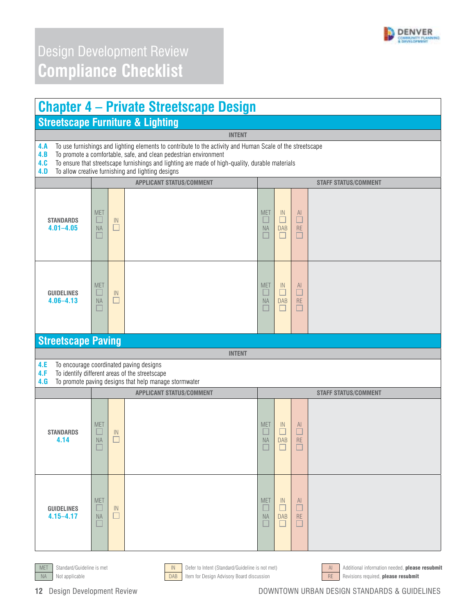

| <b>Chapter 4 – Private Streetscape Design</b> |  |
|-----------------------------------------------|--|
| <b>Streetscape Furniture &amp; Lighting</b>   |  |

#### **INTENT**

**4.A** To use furnishings and lighting elements to contribute to the activity and Human Scale of the streetscape **4.B** To promote a comfortable, safe, and clean pedestrian environment

**4.B** To promote a comfortable, safe, and clean pedestrian environment **4.C** To ensure that streetscape furnishings and lighting are made of hig **4.C** To ensure that streetscape furnishings and lighting are made of high-quality, durable materials

To allow creative furnishing and lighting designs

| ע. ל                               |                                            |                                             | TO AllOW GIGALIVE TUITIISHING AND HYNDRIG UGSIGNS<br><b>APPLICANT STATUS/COMMENT</b>                                                               |                                             |                                            |                                                                                         | <b>STAFF STATUS/COMMENT</b> |  |
|------------------------------------|--------------------------------------------|---------------------------------------------|----------------------------------------------------------------------------------------------------------------------------------------------------|---------------------------------------------|--------------------------------------------|-----------------------------------------------------------------------------------------|-----------------------------|--|
| <b>STANDARDS</b><br>$4.01 - 4.05$  | <b>MET</b><br>ш<br><b>NA</b><br>E          | $\ensuremath{\mathsf{IN}}\xspace$<br>$\Box$ |                                                                                                                                                    | <b>MET</b><br>$\Box$<br>$\sf{NA}$<br>$\Box$ | $\sf IN$<br>$\Box$<br><b>DAB</b><br>□      | $\mathsf{Al}$<br>$\Box$<br>$\mathsf{RE}$<br>□                                           |                             |  |
| <b>GUIDELINES</b><br>$4.06 - 4.13$ | <b>MET</b><br>$\mathbf{L}$<br>NA<br>$\Box$ | $\sf IN$<br>$\Box$                          |                                                                                                                                                    | <b>MET</b><br>□<br>$\sf{NA}$<br>$\Box$      | $\sf IN$<br>$\Box$<br><b>DAB</b><br>$\Box$ | $\overline{\square}$<br>$\mathsf{RE}$<br>$\Box$                                         |                             |  |
| <b>Streetscape Paving</b>          |                                            |                                             |                                                                                                                                                    |                                             |                                            |                                                                                         |                             |  |
|                                    |                                            |                                             | <b>INTENT</b>                                                                                                                                      |                                             |                                            |                                                                                         |                             |  |
| 4.E<br>4.F<br>4.G                  |                                            |                                             | To encourage coordinated paving designs<br>To identify different areas of the streetscape<br>To promote paving designs that help manage stormwater |                                             |                                            |                                                                                         |                             |  |
|                                    |                                            |                                             | <b>APPLICANT STATUS/COMMENT</b>                                                                                                                    |                                             |                                            |                                                                                         | <b>STAFF STATUS/COMMENT</b> |  |
| <b>STANDARDS</b><br>4.14           | <b>MET</b><br>ப<br><b>NA</b><br>$\Box$     | IN<br>$\Box$                                |                                                                                                                                                    | <b>MET</b><br>$\Box$<br>$\sf{NA}$<br>$\Box$ | $\mathsf{IN}$<br>$\Box$<br><b>DAB</b><br>O | $\begin{array}{c}\n\hline\n\text{Al} \\ \hline\n\end{array}$<br>$\mathsf{RE}$<br>$\Box$ |                             |  |
| <b>GUIDELINES</b><br>$4.15 - 4.17$ | <b>MET</b><br>ш<br>NA<br>$\Box$            | $\sf IN$<br>$\Box$                          |                                                                                                                                                    | <b>MET</b><br>$\Box$<br>$\sf{NA}$<br>$\Box$ | IN<br>$\Box$<br><b>DAB</b><br>H            | $\begin{array}{c}\n\mathsf{Al} \\ \Box\n\end{array}$<br>$\mathsf{RE}$<br>$\Box$         |                             |  |



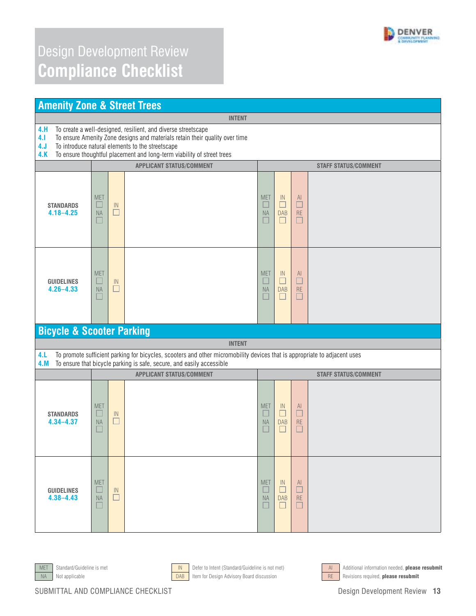

|                                      | <b>Amenity Zone &amp; Street Trees</b>                                                                                                                                                                                                                                     |                                 |                                                                                                                                                                                                    |                             |                                      |                                                |                             |  |  |
|--------------------------------------|----------------------------------------------------------------------------------------------------------------------------------------------------------------------------------------------------------------------------------------------------------------------------|---------------------------------|----------------------------------------------------------------------------------------------------------------------------------------------------------------------------------------------------|-----------------------------|--------------------------------------|------------------------------------------------|-----------------------------|--|--|
|                                      |                                                                                                                                                                                                                                                                            |                                 | <b>INTENT</b>                                                                                                                                                                                      |                             |                                      |                                                |                             |  |  |
| 4.H<br>4.1<br>4. J<br>4.K            | To create a well-designed, resilient, and diverse streetscape<br>To ensure Amenity Zone designs and materials retain their quality over time<br>To introduce natural elements to the streetscape<br>To ensure thoughtful placement and long-term viability of street trees |                                 |                                                                                                                                                                                                    |                             |                                      |                                                |                             |  |  |
|                                      |                                                                                                                                                                                                                                                                            |                                 | <b>APPLICANT STATUS/COMMENT</b>                                                                                                                                                                    |                             |                                      |                                                | <b>STAFF STATUS/COMMENT</b> |  |  |
| <b>STANDARDS</b><br>$4.18 - 4.25$    | <b>MET</b><br>ப<br><b>NA</b><br>ш                                                                                                                                                                                                                                          | $\ensuremath{\mathsf{IN}}$<br>□ |                                                                                                                                                                                                    | <b>MET</b><br>NA            | IN<br>$\Box$<br><b>DAB</b><br>$\Box$ | Al<br>$\Box$<br>RE<br>□                        |                             |  |  |
| <b>GUIDELINES</b><br>$4.26 - 4.33$   | <b>MET</b><br>ш<br><b>NA</b><br>$\Box$                                                                                                                                                                                                                                     | IN<br>□                         |                                                                                                                                                                                                    | <b>MET</b><br><b>NA</b>     | IN<br>$\Box$<br><b>DAB</b><br>$\Box$ | $\mathsf{Al}$<br>$\Box$<br><b>RE</b><br>$\Box$ |                             |  |  |
| <b>Bicycle &amp; Scooter Parking</b> |                                                                                                                                                                                                                                                                            |                                 |                                                                                                                                                                                                    |                             |                                      |                                                |                             |  |  |
|                                      |                                                                                                                                                                                                                                                                            |                                 | <b>INTENT</b>                                                                                                                                                                                      |                             |                                      |                                                |                             |  |  |
| 4.L<br>4.M                           |                                                                                                                                                                                                                                                                            |                                 | To promote sufficient parking for bicycles, scooters and other micromobility devices that is appropriate to adjacent uses<br>To ensure that bicycle parking is safe, secure, and easily accessible |                             |                                      |                                                |                             |  |  |
|                                      |                                                                                                                                                                                                                                                                            |                                 | <b>APPLICANT STATUS/COMMENT</b>                                                                                                                                                                    | <b>STAFF STATUS/COMMENT</b> |                                      |                                                |                             |  |  |
| <b>STANDARDS</b><br>$4.34 - 4.37$    | <b>MET</b><br>ப<br><b>NA</b>                                                                                                                                                                                                                                               | IN<br>□                         |                                                                                                                                                                                                    | <b>MET</b><br><b>NA</b>     | IN<br>$\Box$<br><b>DAB</b><br>$\Box$ | AI<br>$\Box$<br><b>RE</b><br>⊔                 |                             |  |  |
| <b>GUIDELINES</b><br>$4.38 - 4.43$   | <b>MET</b><br><b>NA</b>                                                                                                                                                                                                                                                    | IN<br>П                         |                                                                                                                                                                                                    | <b>MET</b><br><b>NA</b>     | IN<br><b>DAB</b><br>$\Box$           | AI.<br><b>RE</b><br>$\Box$                     |                             |  |  |







MET Standard/Guideline is met **IN Defer to Intent (Standard/Guideline is not met)** Additional information needed, **please resubmit**<br>Not applicable **DAB** them for Design Advisory Board discussion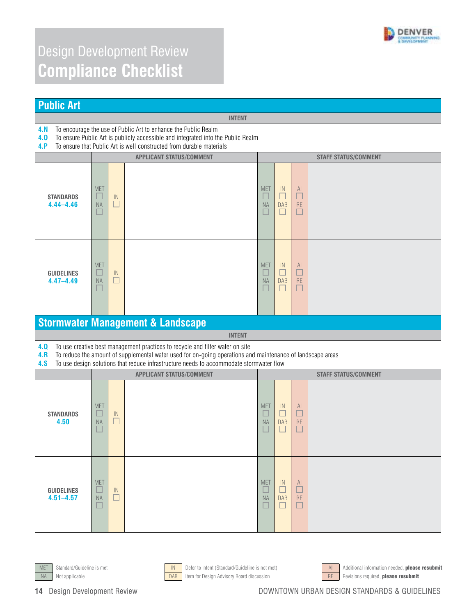

| <b>Public Art</b>                                                                                                                                                                                                                               |                                        |                                      |                                                                                                                                                                                                                                                                                        |                                         |                                       |                                      |                             |  |
|-------------------------------------------------------------------------------------------------------------------------------------------------------------------------------------------------------------------------------------------------|----------------------------------------|--------------------------------------|----------------------------------------------------------------------------------------------------------------------------------------------------------------------------------------------------------------------------------------------------------------------------------------|-----------------------------------------|---------------------------------------|--------------------------------------|-----------------------------|--|
|                                                                                                                                                                                                                                                 | <b>INTENT</b>                          |                                      |                                                                                                                                                                                                                                                                                        |                                         |                                       |                                      |                             |  |
| To encourage the use of Public Art to enhance the Public Realm<br>4.N<br>4.0<br>To ensure Public Art is publicly accessible and integrated into the Public Realm<br>To ensure that Public Art is well constructed from durable materials<br>4.P |                                        |                                      |                                                                                                                                                                                                                                                                                        |                                         |                                       |                                      |                             |  |
|                                                                                                                                                                                                                                                 |                                        |                                      | <b>APPLICANT STATUS/COMMENT</b>                                                                                                                                                                                                                                                        |                                         |                                       |                                      | <b>STAFF STATUS/COMMENT</b> |  |
| <b>STANDARDS</b><br>$4.44 - 4.46$                                                                                                                                                                                                               | <b>MET</b><br>$\Box$<br>NA<br>$\Box$   | $\ensuremath{\mathsf{IN}}$<br>$\Box$ |                                                                                                                                                                                                                                                                                        | <b>MET</b><br>$\Box$<br><b>NA</b><br>П  | IN<br>$\Box$<br><b>DAB</b><br>П       | $\mathsf{Al}$<br>$\Box$<br>RE<br>□   |                             |  |
| <b>GUIDELINES</b><br>$4.47 - 4.49$                                                                                                                                                                                                              | <b>MET</b><br>$\Box$<br><b>NA</b><br>ш | IN<br>$\Box$                         |                                                                                                                                                                                                                                                                                        | <b>MET</b><br>$\Box$<br><b>NA</b><br>L. | IN<br>□<br><b>DAB</b><br>$\mathbf{L}$ | $\mathsf{Al}$<br>$\Box$<br>RE<br>⊔   |                             |  |
|                                                                                                                                                                                                                                                 |                                        |                                      | <b>Stormwater Management &amp; Landscape</b>                                                                                                                                                                                                                                           |                                         |                                       |                                      |                             |  |
|                                                                                                                                                                                                                                                 |                                        |                                      | <b>INTENT</b>                                                                                                                                                                                                                                                                          |                                         |                                       |                                      |                             |  |
| 4.0<br>4.R<br>4.8                                                                                                                                                                                                                               |                                        |                                      | To use creative best management practices to recycle and filter water on site<br>To reduce the amount of supplemental water used for on-going operations and maintenance of landscape areas<br>To use design solutions that reduce infrastructure needs to accommodate stormwater flow |                                         |                                       |                                      |                             |  |
|                                                                                                                                                                                                                                                 |                                        |                                      | <b>APPLICANT STATUS/COMMENT</b>                                                                                                                                                                                                                                                        | <b>STAFF STATUS/COMMENT</b>             |                                       |                                      |                             |  |
| <b>STANDARDS</b><br>4.50                                                                                                                                                                                                                        | <b>MET</b><br>Ш<br><b>NA</b><br>J      | IN<br>$\Box$                         |                                                                                                                                                                                                                                                                                        | <b>MET</b><br>ш<br><b>NA</b><br>L       | IN<br>□<br><b>DAB</b><br>П            | $\overline{A}$<br>$\Box$<br>RE<br>□  |                             |  |
| <b>GUIDELINES</b><br>$4.51 - 4.57$                                                                                                                                                                                                              | <b>MET</b><br><b>NA</b>                | IN.<br>□                             |                                                                                                                                                                                                                                                                                        | <b>MET</b><br><b>NA</b><br>L.           | IN<br><b>DAB</b><br>Ш                 | <sup>Al</sup><br><b>RE</b><br>$\Box$ |                             |  |





NA Not applicable **DAB** Item for Design Advisory Board discussion RE Revisions required, please resubmit

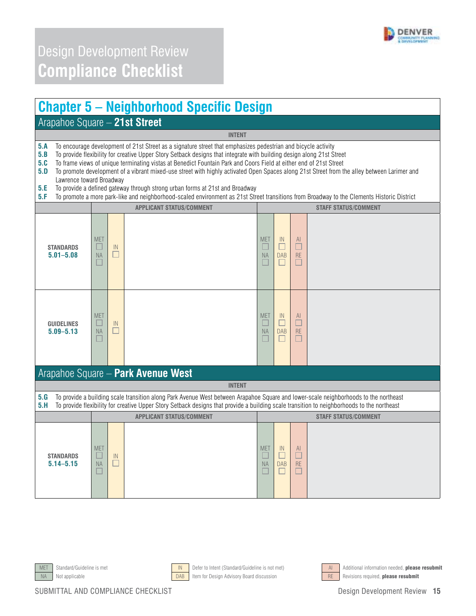

#### **Chapter 5 – Neighborhood Specific Design**

#### Arapahoe Square – **21st Street**

**5.A** To encourage development of 21st Street as a signature street that emphasizes pedestrian and bicycle activity

**5.B** To provide flexibility for creative Upper Story Setback designs that integrate with building design along 21st Street

**5.C** To frame views of unique terminating vistas at Benedict Fountain Park and Coors Field at either end of 21st Street from t<br>**5.D** To promote development of a vibrant mixed-use street with highly activated Open Spaces a **5.D** To promote development of a vibrant mixed-use street with highly activated Open Spaces along 21st Street from the alley between Larimer and Lawrence toward Broadway

**INTENT** 

- **5.E** To provide a defined gateway through strong urban forms at 21st and Broadway
- **5.F** To promote a more park-like and neighborhood-scaled environment as 21st Street transitions from Broadway to the Clements Historic District

|                                    | <b>APPLICANT STATUS/COMMENT</b>        |              |                                                                                                                                                                                                                                                                                    |                                             |                                 | <b>STAFF STATUS/COMMENT</b>                    |                             |  |  |  |
|------------------------------------|----------------------------------------|--------------|------------------------------------------------------------------------------------------------------------------------------------------------------------------------------------------------------------------------------------------------------------------------------------|---------------------------------------------|---------------------------------|------------------------------------------------|-----------------------------|--|--|--|
| <b>STANDARDS</b><br>$5.01 - 5.08$  | <b>MET</b><br>$\Box$<br><b>NA</b><br>E | IN<br>$\Box$ |                                                                                                                                                                                                                                                                                    | <b>MET</b><br>$\Box$<br><b>NA</b><br>$\Box$ | IN<br>□<br><b>DAB</b><br>П      | AI<br>$\Box$<br><b>RE</b><br>$\Box$            |                             |  |  |  |
| <b>GUIDELINES</b><br>$5.09 - 5.13$ | <b>MET</b><br>NA<br>ш                  | IN<br>□      |                                                                                                                                                                                                                                                                                    | <b>MET</b><br>$\Box$<br><b>NA</b>           | IN<br>C<br><b>DAB</b>           | $\mathsf{Al}$<br><b>RE</b>                     |                             |  |  |  |
|                                    |                                        |              | Arapahoe Square - Park Avenue West                                                                                                                                                                                                                                                 |                                             |                                 |                                                |                             |  |  |  |
|                                    |                                        |              | <b>INTENT</b>                                                                                                                                                                                                                                                                      |                                             |                                 |                                                |                             |  |  |  |
| 5.G<br>5.H                         |                                        |              | To provide a building scale transition along Park Avenue West between Arapahoe Square and lower-scale neighborhoods to the northeast<br>To provide flexibility for creative Upper Story Setback designs that provide a building scale transition to neighborhoods to the northeast |                                             |                                 |                                                |                             |  |  |  |
|                                    |                                        |              | <b>APPLICANT STATUS/COMMENT</b>                                                                                                                                                                                                                                                    |                                             |                                 |                                                | <b>STAFF STATUS/COMMENT</b> |  |  |  |
| <b>STANDARDS</b><br>$5.14 - 5.15$  | <b>MET</b><br><b>NA</b>                | IN<br>□      |                                                                                                                                                                                                                                                                                    | <b>MET</b><br>L.<br><b>NA</b><br>г          | $\mathbb{N}$<br>П<br><b>DAB</b> | $\mathsf{Al}$<br>$\Box$<br><b>RE</b><br>$\Box$ |                             |  |  |  |







MET Standard/Guideline is met **IN Defer to Intent (Standard/Guideline is not met)** AI Additional information needed, **please resubmit** NA Not applicable **DAB** Item for Design Advisory Board discussion RE Revisions required, **please resubmit**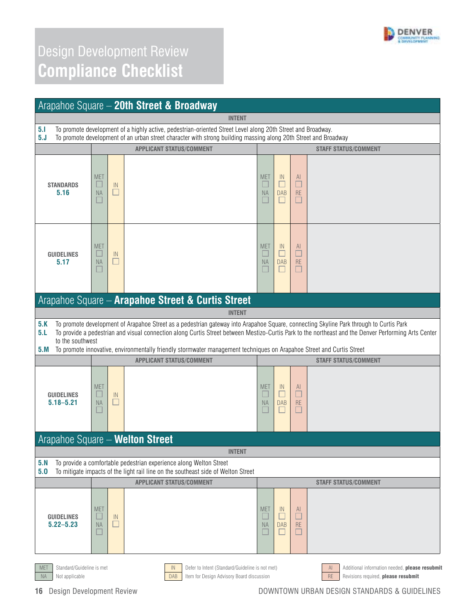

|                                         |                                                                                                                                                                                                                                |         | Arapahoe Square - 20th Street & Broadway                                                                                                                                                                                                                                                                                                                                                                                |                                   |                                           |                                                |                                                      |
|-----------------------------------------|--------------------------------------------------------------------------------------------------------------------------------------------------------------------------------------------------------------------------------|---------|-------------------------------------------------------------------------------------------------------------------------------------------------------------------------------------------------------------------------------------------------------------------------------------------------------------------------------------------------------------------------------------------------------------------------|-----------------------------------|-------------------------------------------|------------------------------------------------|------------------------------------------------------|
|                                         | <b>INTENT</b>                                                                                                                                                                                                                  |         |                                                                                                                                                                                                                                                                                                                                                                                                                         |                                   |                                           |                                                |                                                      |
| 5.1<br>5. J                             | To promote development of a highly active, pedestrian-oriented Street Level along 20th Street and Broadway.<br>To promote development of an urban street character with strong building massing along 20th Street and Broadway |         |                                                                                                                                                                                                                                                                                                                                                                                                                         |                                   |                                           |                                                |                                                      |
|                                         |                                                                                                                                                                                                                                |         | <b>APPLICANT STATUS/COMMENT</b>                                                                                                                                                                                                                                                                                                                                                                                         |                                   |                                           |                                                | <b>STAFF STATUS/COMMENT</b>                          |
| <b>STANDARDS</b><br>5.16                | <b>MET</b><br>ш<br><b>NA</b><br>H                                                                                                                                                                                              | IN<br>□ |                                                                                                                                                                                                                                                                                                                                                                                                                         | <b>MET</b><br>ш<br><b>NA</b><br>ш | $\mathbb{N}$<br>□<br><b>DAB</b><br>$\Box$ | <sup>Al</sup><br>$\Box$<br><b>RE</b><br>□      |                                                      |
| <b>GUIDELINES</b><br>5.17               | <b>MET</b><br>$\Box$<br><b>NA</b>                                                                                                                                                                                              | IN<br>Ш |                                                                                                                                                                                                                                                                                                                                                                                                                         | <b>MET</b><br>ш<br><b>NA</b><br>ш | IN<br>$\Box$<br><b>DAB</b><br>ш           | <sup>Al</sup><br>$\Box$<br><b>RE</b><br>$\Box$ |                                                      |
|                                         |                                                                                                                                                                                                                                |         | Arapahoe Square - Arapahoe Street & Curtis Street                                                                                                                                                                                                                                                                                                                                                                       |                                   |                                           |                                                |                                                      |
| 5.K<br>5.L<br>to the southwest<br>5.M   |                                                                                                                                                                                                                                |         | To promote development of Arapahoe Street as a pedestrian gateway into Arapahoe Square, connecting Skyline Park through to Curtis Park<br>To provide a pedestrian and visual connection along Curtis Street between Mestizo-Curtis Park to the northeast and the Denver Performing Arts Center<br>To promote innovative, environmentally friendly stormwater management techniques on Arapahoe Street and Curtis Street |                                   |                                           |                                                |                                                      |
|                                         |                                                                                                                                                                                                                                |         | <b>APPLICANT STATUS/COMMENT</b>                                                                                                                                                                                                                                                                                                                                                                                         |                                   |                                           |                                                | <b>STAFF STATUS/COMMENT</b>                          |
| <b>GUIDELINES</b><br>$5.18 - 5.21$      | <b>MET</b><br>ш<br><b>NA</b>                                                                                                                                                                                                   | IN<br>□ |                                                                                                                                                                                                                                                                                                                                                                                                                         | <b>MET</b><br>ш<br><b>NA</b><br>ш | $\mathbb{N}$<br>□<br><b>DAB</b><br>ш      | $\mathsf{Al}$<br>□<br><b>RE</b><br>$\Box$      |                                                      |
| <b>Arapahoe Square - Welton Street</b>  |                                                                                                                                                                                                                                |         |                                                                                                                                                                                                                                                                                                                                                                                                                         |                                   |                                           |                                                |                                                      |
| 5. N<br>5.0                             | <b>INTENT</b><br>To provide a comfortable pedestrian experience along Welton Street<br>To mitigate impacts of the light rail line on the southeast side of Welton Street                                                       |         |                                                                                                                                                                                                                                                                                                                                                                                                                         |                                   |                                           |                                                |                                                      |
|                                         |                                                                                                                                                                                                                                |         | <b>APPLICANT STATUS/COMMENT</b>                                                                                                                                                                                                                                                                                                                                                                                         |                                   |                                           |                                                | <b>STAFF STATUS/COMMENT</b>                          |
| <b>GUIDELINES</b><br>$5.22 - 5.23$      | <b>MET</b><br><b>NA</b><br>ш                                                                                                                                                                                                   | IN<br>□ |                                                                                                                                                                                                                                                                                                                                                                                                                         | <b>MET</b><br>NA<br>ш             | $\mathbb{N}$<br>L<br><b>DAB</b><br>ப      | AI<br>$\Box$<br><b>RE</b><br>□                 |                                                      |
| Standard/Guideline is met<br><b>MET</b> |                                                                                                                                                                                                                                |         | ${\sf IN}$<br>Defer to Intent (Standard/Guideline is not met)                                                                                                                                                                                                                                                                                                                                                           |                                   |                                           |                                                | Additional information needed, please resubmit<br>AI |

NA Not applicable **Example 20 TOAB** Item for Design Advisory Board discussion RE Revisions required, **please resubmit** 

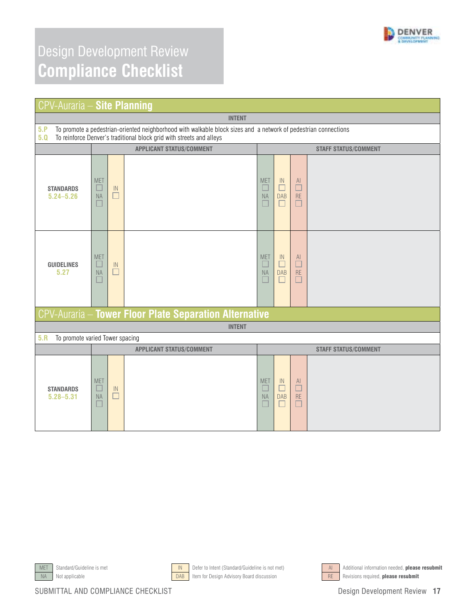

| <b>CPV-Auraria - Site Planning</b>     |                                                                                                                                                                                         |              |                                                        |                                       |                                                        |                              |                             |
|----------------------------------------|-----------------------------------------------------------------------------------------------------------------------------------------------------------------------------------------|--------------|--------------------------------------------------------|---------------------------------------|--------------------------------------------------------|------------------------------|-----------------------------|
|                                        | <b>INTENT</b>                                                                                                                                                                           |              |                                                        |                                       |                                                        |                              |                             |
| 5.P<br>5.0                             | To promote a pedestrian-oriented neighborhood with walkable block sizes and a network of pedestrian connections<br>To reinforce Denver's traditional block grid with streets and alleys |              |                                                        |                                       |                                                        |                              |                             |
|                                        |                                                                                                                                                                                         |              | <b>APPLICANT STATUS/COMMENT</b>                        |                                       |                                                        |                              | <b>STAFF STATUS/COMMENT</b> |
| <b>STANDARDS</b><br>$5.24 - 5.26$      | <b>MET</b><br>ш<br><b>NA</b><br>П                                                                                                                                                       | IN<br>$\Box$ |                                                        | <b>MET</b><br>ш<br>$\sf NA$<br>$\Box$ | IN<br>$\overline{\phantom{a}}$<br><b>DAB</b><br>$\Box$ | AI<br>$\Box$<br>RE<br>□      |                             |
| <b>GUIDELINES</b><br>5.27              | <b>MET</b><br>$\Box$<br><b>NA</b>                                                                                                                                                       | IN<br>$\Box$ |                                                        | <b>MET</b><br>$\Box$<br>NA<br>$\Box$  | $\mathbb{N}$<br>$\Box$<br><b>DAB</b><br>П              | AI<br>$\Box$<br>RE<br>$\Box$ |                             |
|                                        |                                                                                                                                                                                         |              | CPV-Auraria - Tower Floor Plate Separation Alternative |                                       |                                                        |                              |                             |
|                                        |                                                                                                                                                                                         |              | <b>INTENT</b>                                          |                                       |                                                        |                              |                             |
| 5.R<br>To promote varied Tower spacing |                                                                                                                                                                                         |              |                                                        |                                       |                                                        |                              |                             |
|                                        | <b>APPLICANT STATUS/COMMENT</b>                                                                                                                                                         |              |                                                        |                                       |                                                        |                              | <b>STAFF STATUS/COMMENT</b> |
| <b>STANDARDS</b><br>$5.28 - 5.31$      | <b>MET</b><br>$\Box$<br><b>NA</b>                                                                                                                                                       | IN<br>□      |                                                        | <b>MET</b><br>$\Box$<br>NA<br>a.      | IN<br>$\Box$<br><b>DAB</b><br>ш                        | AI<br>$\Box$<br>RE<br>$\Box$ |                             |







MET Standard/Guideline is met **IN Defer to Intent (Standard/Guideline** is not met) AI Additional information needed, **please resubmit**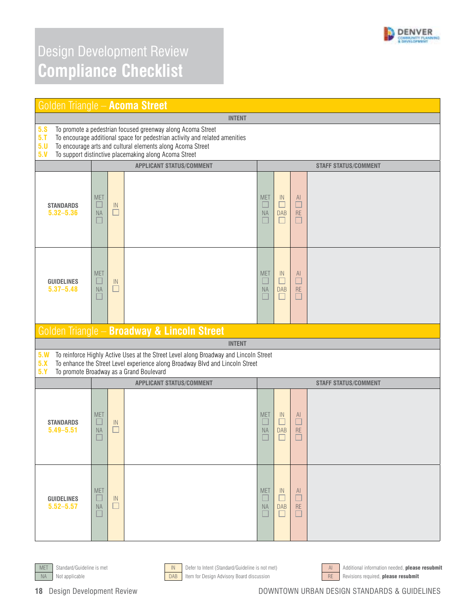

| Golden Triangle - Acoma Street     |                                                                                                                                                                                                                                                                   |                                             |                                                                                                                                                                                                                    |                                   |                                           |                                      |                             |  |  |
|------------------------------------|-------------------------------------------------------------------------------------------------------------------------------------------------------------------------------------------------------------------------------------------------------------------|---------------------------------------------|--------------------------------------------------------------------------------------------------------------------------------------------------------------------------------------------------------------------|-----------------------------------|-------------------------------------------|--------------------------------------|-----------------------------|--|--|
|                                    | <b>INTENT</b>                                                                                                                                                                                                                                                     |                                             |                                                                                                                                                                                                                    |                                   |                                           |                                      |                             |  |  |
| 5.8<br>$5.$ T<br>5.0<br>5. V       | To promote a pedestrian focused greenway along Acoma Street<br>To encourage additional space for pedestrian activity and related amenities<br>To encourage arts and cultural elements along Acoma Street<br>To support distinctive placemaking along Acoma Street |                                             |                                                                                                                                                                                                                    |                                   |                                           |                                      |                             |  |  |
|                                    |                                                                                                                                                                                                                                                                   |                                             | <b>APPLICANT STATUS/COMMENT</b>                                                                                                                                                                                    |                                   |                                           |                                      | <b>STAFF STATUS/COMMENT</b> |  |  |
| <b>STANDARDS</b><br>$5.32 - 5.36$  | <b>MET</b><br><b>NA</b><br>ш                                                                                                                                                                                                                                      | $\mathbb{N}$<br>$\Box$                      |                                                                                                                                                                                                                    | <b>MET</b><br>ш<br><b>NA</b><br>ш | IN<br>$\Box$<br><b>DAB</b><br>□           | $\mathsf{Al}$<br>□<br>RE<br>□        |                             |  |  |
| <b>GUIDELINES</b><br>$5.37 - 5.48$ | <b>MET</b><br><b>NA</b>                                                                                                                                                                                                                                           | $\ensuremath{\mathsf{IN}}\xspace$<br>$\Box$ |                                                                                                                                                                                                                    | <b>MET</b><br>$\Box$<br><b>NA</b> | $\mathbb{N}$<br>□<br><b>DAB</b><br>$\Box$ | $\mathsf{Al}$<br>$\Box$<br><b>RE</b> |                             |  |  |
|                                    |                                                                                                                                                                                                                                                                   |                                             | Golden Triangle - Broadway & Lincoln Street                                                                                                                                                                        |                                   |                                           |                                      |                             |  |  |
|                                    |                                                                                                                                                                                                                                                                   |                                             | <b>INTENT</b>                                                                                                                                                                                                      |                                   |                                           |                                      |                             |  |  |
| 5. W<br>5.X<br>5.Y                 |                                                                                                                                                                                                                                                                   |                                             | To reinforce Highly Active Uses at the Street Level along Broadway and Lincoln Street<br>To enhance the Street Level experience along Broadway Blvd and Lincoln Street<br>To promote Broadway as a Grand Boulevard |                                   |                                           |                                      |                             |  |  |
|                                    |                                                                                                                                                                                                                                                                   |                                             | <b>APPLICANT STATUS/COMMENT</b>                                                                                                                                                                                    | <b>STAFF STATUS/COMMENT</b>       |                                           |                                      |                             |  |  |
| <b>STANDARDS</b><br>$5.49 - 5.51$  | <b>MET</b><br>ш<br><b>NA</b>                                                                                                                                                                                                                                      | $\mathbb{N}$<br>$\Box$                      |                                                                                                                                                                                                                    | <b>MET</b><br>$\Box$<br><b>NA</b> | IN<br>□<br><b>DAB</b>                     | $\mathsf{Al}$<br>$\Box$<br><b>RE</b> |                             |  |  |
| <b>GUIDELINES</b><br>$5.52 - 5.57$ | <b>MET</b><br><b>NA</b>                                                                                                                                                                                                                                           | IN<br>П                                     |                                                                                                                                                                                                                    | <b>MET</b><br><b>NA</b>           | IN<br>DAB<br>$\Box$                       | <sup>Al</sup><br><b>RE</b>           |                             |  |  |





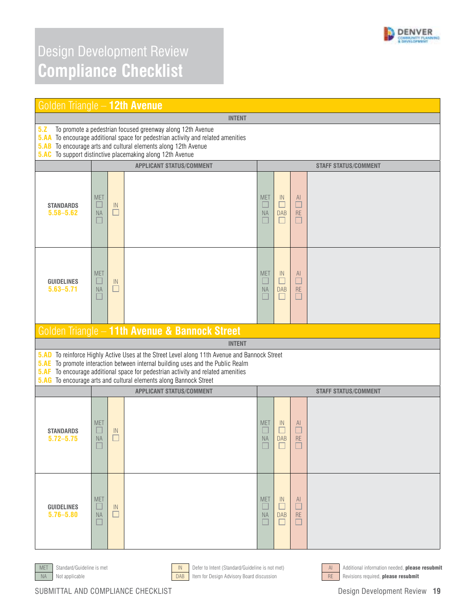

| Golden Triangle - 12th Avenue                                  |                                                                                                                                                                                                                                                                                        |                         |                                                                                                                                                                                                                                                                                                                                   |                                         |                                           |                               |                             |  |
|----------------------------------------------------------------|----------------------------------------------------------------------------------------------------------------------------------------------------------------------------------------------------------------------------------------------------------------------------------------|-------------------------|-----------------------------------------------------------------------------------------------------------------------------------------------------------------------------------------------------------------------------------------------------------------------------------------------------------------------------------|-----------------------------------------|-------------------------------------------|-------------------------------|-----------------------------|--|
|                                                                | <b>INTENT</b>                                                                                                                                                                                                                                                                          |                         |                                                                                                                                                                                                                                                                                                                                   |                                         |                                           |                               |                             |  |
| 5.2<br><b>5.AB</b>                                             | To promote a pedestrian focused greenway along 12th Avenue<br><b>5.AA</b> To encourage additional space for pedestrian activity and related amenities<br>To encourage arts and cultural elements along 12th Avenue<br><b>5.AC</b> To support distinctive placemaking along 12th Avenue |                         |                                                                                                                                                                                                                                                                                                                                   |                                         |                                           |                               |                             |  |
| <b>APPLICANT STATUS/COMMENT</b><br><b>STAFF STATUS/COMMENT</b> |                                                                                                                                                                                                                                                                                        |                         |                                                                                                                                                                                                                                                                                                                                   |                                         |                                           |                               |                             |  |
| <b>STANDARDS</b><br>$5.58 - 5.62$                              | <b>MET</b><br><b>NA</b>                                                                                                                                                                                                                                                                | $\mathsf{IN}$<br>$\Box$ |                                                                                                                                                                                                                                                                                                                                   | <b>MET</b><br>$\Box$<br><b>NA</b>       | IN<br>□<br><b>DAB</b><br>П                | AI<br>$\Box$<br><b>RE</b>     |                             |  |
| <b>GUIDELINES</b><br>$5.63 - 5.71$                             | <b>MET</b><br>∟<br><b>NA</b>                                                                                                                                                                                                                                                           | IN                      |                                                                                                                                                                                                                                                                                                                                   | <b>MET</b><br>$\Box$<br><b>NA</b><br>L. | $\mathbb{N}$<br>$\Box$<br><b>DAB</b><br>H | AI.<br>$\Box$<br>RE           |                             |  |
|                                                                |                                                                                                                                                                                                                                                                                        |                         | Golden Triangle - 11th Avenue & Bannock Street                                                                                                                                                                                                                                                                                    |                                         |                                           |                               |                             |  |
|                                                                |                                                                                                                                                                                                                                                                                        |                         | <b>INTENT</b>                                                                                                                                                                                                                                                                                                                     |                                         |                                           |                               |                             |  |
| <b>5.AD</b><br><b>5.AE</b><br><b>5.AF</b>                      |                                                                                                                                                                                                                                                                                        |                         | To reinforce Highly Active Uses at the Street Level along 11th Avenue and Bannock Street<br>To promote interaction between internal building uses and the Public Realm<br>To encourage additional space for pedestrian activity and related amenities<br><b>5.AG</b> To encourage arts and cultural elements along Bannock Street |                                         |                                           |                               |                             |  |
|                                                                |                                                                                                                                                                                                                                                                                        |                         | <b>APPLICANT STATUS/COMMENT</b>                                                                                                                                                                                                                                                                                                   |                                         |                                           |                               | <b>STAFF STATUS/COMMENT</b> |  |
| <b>STANDARDS</b><br>$5.72 - 5.75$                              | <b>MET</b><br><b>NA</b>                                                                                                                                                                                                                                                                | IN                      |                                                                                                                                                                                                                                                                                                                                   | <b>MET</b><br>NA                        | $\mathbb{N}$<br><b>DAB</b>                | <sup>Al</sup><br><b>RE</b>    |                             |  |
| <b>GUIDELINES</b><br>$5.76 - 5.80$                             | <b>MET</b><br><b>NA</b>                                                                                                                                                                                                                                                                | IN<br>$\blacksquare$    |                                                                                                                                                                                                                                                                                                                                   | <b>MET</b><br><b>NA</b>                 | IN<br><b>DAB</b><br>$\Box$                | $\mathsf{Al}$<br>RE<br>$\Box$ |                             |  |